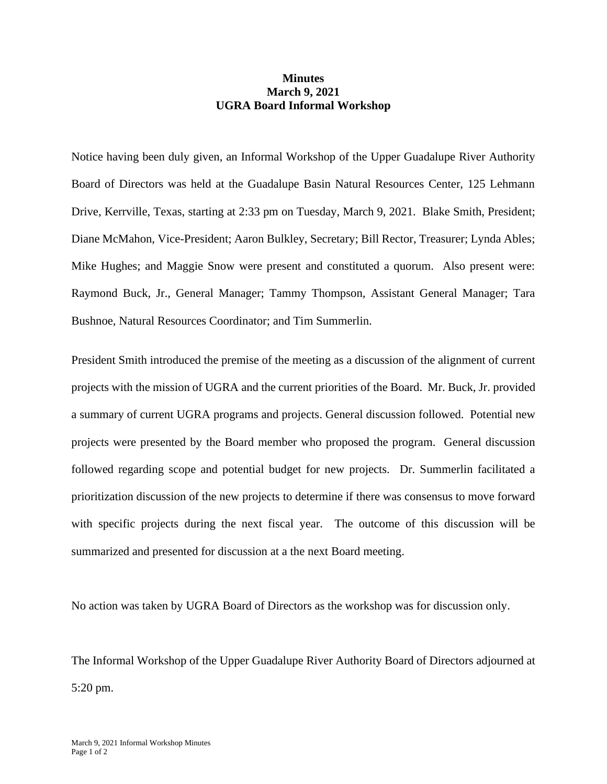## **Minutes March 9, 2021 UGRA Board Informal Workshop**

Notice having been duly given, an Informal Workshop of the Upper Guadalupe River Authority Board of Directors was held at the Guadalupe Basin Natural Resources Center, 125 Lehmann Drive, Kerrville, Texas, starting at 2:33 pm on Tuesday, March 9, 2021. Blake Smith, President; Diane McMahon, Vice-President; Aaron Bulkley, Secretary; Bill Rector, Treasurer; Lynda Ables; Mike Hughes; and Maggie Snow were present and constituted a quorum. Also present were: Raymond Buck, Jr., General Manager; Tammy Thompson, Assistant General Manager; Tara Bushnoe, Natural Resources Coordinator; and Tim Summerlin.

President Smith introduced the premise of the meeting as a discussion of the alignment of current projects with the mission of UGRA and the current priorities of the Board. Mr. Buck, Jr. provided a summary of current UGRA programs and projects. General discussion followed. Potential new projects were presented by the Board member who proposed the program. General discussion followed regarding scope and potential budget for new projects. Dr. Summerlin facilitated a prioritization discussion of the new projects to determine if there was consensus to move forward with specific projects during the next fiscal year. The outcome of this discussion will be summarized and presented for discussion at a the next Board meeting.

No action was taken by UGRA Board of Directors as the workshop was for discussion only.

The Informal Workshop of the Upper Guadalupe River Authority Board of Directors adjourned at 5:20 pm.